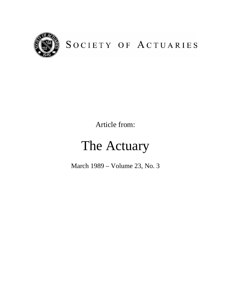

## SOCIETY OF ACTUARIES

Article from:

# The Actuary

March 1989 – Volume 23, No. 3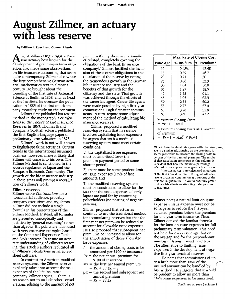## August Zillmer, an actuary with less reserve

by William L. Roach and Gunnar Alksnis

ugust Zillmer (1831-1893), a Prussian actuary best known for the development of preliminary term valuation, also made some observations on life insurance accounting that seem quite contemporary. Zillmer also wrote the first comprehensive German actuarial mathematics text in almost a century. He brought about the founding of the Institute of Actuarial Science at Berlin in 1868, and, as head of the Institute, he oversaw the publication in 1883 of the first multicompany mortality study on the continent.

Zillmer first published his reserve method in the monograph. Contributions to the Theory of Life Insurance Reserves in 1863. Thomas Brand Sprague, a Scottish actuary, published the first English-language paper on preliminary term valuation in 1875.

Zillmer's work is not well known to English-speaking actuaries. Current trends in the international insurance business, however, make it likely that ZiJlmer wilJ come into his own. The Zillmer Method is sanctioned in the reserve regulation of Japan and the European Economic Community. The growth of the life insurance industry in these areas will prompt a reevaluation of Zillmer's work.

#### Zillmer reserves

ZiUmer wrote Contributions for a nonactuarial audience, probably company executives and regulators. Zillmer did not include a single formula in his presentation of the Zillmer Method. Instead. all formulas are presented conceptually and justified by "general reasoning" rather than algebra. His points are illustrated with very extensive examples based on the Combined Experience Table and 3%% interest. To assure an accurate understanding of Zillmer's reasoning, this article's authors replicated all of Zillmer's calculations using spreadsheet software.

In contrast to American modified reserve systems, the Zillmer reserve explicitly takes tnto account the issue expenses of the life insurance company. Zillmer argues, "...there is no reason not to include other considerations relating to the amount of net

premium if only these are rationally calculated, completely covering the obligations of the bank [insurance company]." ZiJlmer justified the inclusion of these other obligations in the calculation of the reserve by noting the tremendous growth in the German life insurance industry and the benefits of that growth for the citizenry and the state. That growth was achieved through the efforts of the career life agent. Career life agents were made possible by high first-year commissions. High first-year commissions, in turn, require some adjustment of the method of calculating life insurance reserves.

Zillmer proposed a modified reserving system that in essence involves capitalizing issue expenses: he argues that such a modified reserving system must meet certain conditions:

1) the capitalized issue expenses must be amortized (over the premium payment period or some shorter period):

2) there must be some prudent limit on issue expenses  $(1\frac{1}{4}\%$  of face amount): and

3) the modified reserving system must be constructed to allow for the fact that the issue expenses of early lapses are paid for by continuing policyholders (no posting of negative reserves).

Zillmer proposed that actuaries continue to use the traditional method for accumulating reserves but that the first-year net premium be reduced to account for allowable issue expenses. He also proposed that subsequent net premiums be increased to allow for the amortization of those allowable issue expenses.

- $I =$  the amount of closing costs to be amortized per \$100 of insurance
- $Px =$  the net annual premium for \$100 of insurance
- $\alpha x =$  the first net annual premium  $= Px + I/\ddot{a}x - I$
- $\beta x =$  the second and subsequent net annual premium
	- $= Px + I/\ddot{a}x$

|                                                                                  | Max. Rate of Closing Cost |            |
|----------------------------------------------------------------------------------|---------------------------|------------|
| <b>Issue Age</b>                                                                 | % Ins Sum                 | % Premium* |
| 10                                                                               | 0.48%                     | 42.4%      |
| 15                                                                               | 0.59                      | 46.7       |
| 20                                                                               | 0.71                      | 50.1       |
| 25                                                                               | 0.86                      | 53.3       |
| 30                                                                               | 1.04                      | 56.0       |
| 35                                                                               | 1.27                      | 58.5       |
| 40                                                                               | 1.58                      | 61.1       |
| 45                                                                               | 1.95                      | 62.3       |
| 50                                                                               | 2.33                      | 60.2       |
| 55                                                                               | 2.77                      | 57.0       |
| 60                                                                               | 3.28                      | 52.8       |
| 65                                                                               | 3.80                      | 47.2       |
| Maximum Closing Costs<br>$= Px+1 - Ax:1$                                         |                           |            |
| Maximum Closing Costs as a Percent<br>of Premium<br>$= (Px + 1 - Ax)$ / $Px + 1$ |                           |            |

\*Since these maximal rates grow with the issue age tn a stmilar relationship as the premium. tt seems preferable to measure the closing costs in percent of the first annual premium. The results of that calculation are shown tn this column. It is evident that here the maximal percentage selected is not exposed to as great a fluctuation.

If the clostng costs are calculated tn percent of the first annual premium, the agent will also receive a closing commission as a percent of the first annual premium. He would naturally prefer to direct his efforts to attracting older persons to Insurance.

Zillmer notes a natural limit on issue expense  $I_i$  issue expense must not be so large as to reduce the first-year, adjusted premium below the premium for one-year term insurance. Thus, Zillmer derived the familiar formula for the limit on issue expenses for full preliminary term valuation. This need not hold for every issue age. but on the average and for the preponderant number of issues it must hold true. The alternative to limiting issue expenses is the development of negative first-year terminal reserves.

He notes that commissions of up to a little more than  $1\frac{3}{8}$ % of the insured amount can be handled by ' his method. He suggests that it would be prudent to allow no more than 11/4% issue expenses to be amortized.